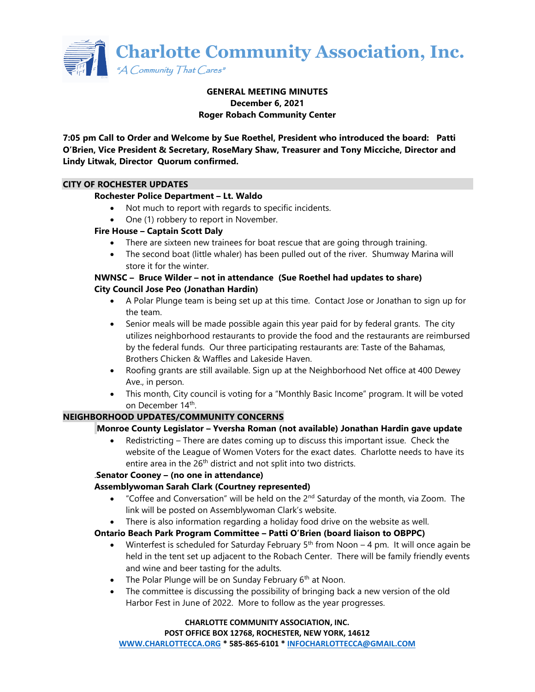

## **GENERAL MEETING MINUTES December 6, 2021 Roger Robach Community Center**

**7:05 pm Call to Order and Welcome by Sue Roethel, President who introduced the board: Patti O'Brien, Vice President & Secretary, RoseMary Shaw, Treasurer and Tony Micciche, Director and Lindy Litwak, Director Quorum confirmed.**

## **CITY OF ROCHESTER UPDATES**

#### **Rochester Police Department – Lt. Waldo**

- Not much to report with regards to specific incidents.
- One (1) robbery to report in November.

#### **Fire House – Captain Scott Daly**

- There are sixteen new trainees for boat rescue that are going through training.
- The second boat (little whaler) has been pulled out of the river. Shumway Marina will store it for the winter.

## **NWNSC – Bruce Wilder – not in attendance (Sue Roethel had updates to share) City Council Jose Peo (Jonathan Hardin)**

- A Polar Plunge team is being set up at this time. Contact Jose or Jonathan to sign up for the team.
- Senior meals will be made possible again this year paid for by federal grants. The city utilizes neighborhood restaurants to provide the food and the restaurants are reimbursed by the federal funds. Our three participating restaurants are: Taste of the Bahamas, Brothers Chicken & Waffles and Lakeside Haven.
- Roofing grants are still available. Sign up at the Neighborhood Net office at 400 Dewey Ave., in person.
- This month, City council is voting for a "Monthly Basic Income" program. It will be voted on December 14<sup>th</sup>.

## **NEIGHBORHOOD UPDATES/COMMUNITY CONCERNS**

## **Monroe County Legislator – Yversha Roman (not available) Jonathan Hardin gave update**

• Redistricting – There are dates coming up to discuss this important issue. Check the website of the League of Women Voters for the exact dates. Charlotte needs to have its entire area in the 26<sup>th</sup> district and not split into two districts.

## .**Senator Cooney – (no one in attendance)**

## **Assemblywoman Sarah Clark (Courtney represented)**

- "Coffee and Conversation" will be held on the  $2<sup>nd</sup>$  Saturday of the month, via Zoom. The link will be posted on Assemblywoman Clark's website.
- There is also information regarding a holiday food drive on the website as well.

## **Ontario Beach Park Program Committee – Patti O'Brien (board liaison to OBPPC)**

- Winterfest is scheduled for Saturday February  $5<sup>th</sup>$  from Noon 4 pm. It will once again be held in the tent set up adjacent to the Robach Center. There will be family friendly events and wine and beer tasting for the adults.
- The Polar Plunge will be on Sunday February  $6<sup>th</sup>$  at Noon.
- The committee is discussing the possibility of bringing back a new version of the old Harbor Fest in June of 2022. More to follow as the year progresses.

#### **CHARLOTTE COMMUNITY ASSOCIATION, INC. POST OFFICE BOX 12768, ROCHESTER, NEW YORK, 14612**

**[WWW.CHARLOTTECCA.ORG](http://www.charlottecca.org/) \* 585-865-6101 \* [INFOCHARLOTTECCA@GMAIL.COM](mailto:INFOCHARLOTTECCA@GMAIL.COM)**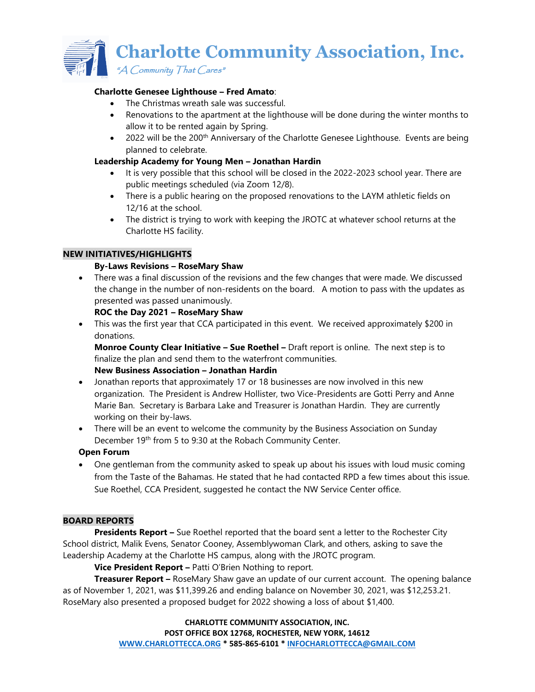**Charlotte Community Association, Inc.** 

 $A$  Community That Cares"

## **Charlotte Genesee Lighthouse – Fred Amato**:

- The Christmas wreath sale was successful.
- Renovations to the apartment at the lighthouse will be done during the winter months to allow it to be rented again by Spring.
- 2022 will be the 200<sup>th</sup> Anniversary of the Charlotte Genesee Lighthouse. Events are being planned to celebrate.

## **Leadership Academy for Young Men – Jonathan Hardin**

- It is very possible that this school will be closed in the 2022-2023 school year. There are public meetings scheduled (via Zoom 12/8).
- There is a public hearing on the proposed renovations to the LAYM athletic fields on 12/16 at the school.
- The district is trying to work with keeping the JROTC at whatever school returns at the Charlotte HS facility.

## **NEW INITIATIVES/HIGHLIGHTS**

## **By-Laws Revisions – RoseMary Shaw**

• There was a final discussion of the revisions and the few changes that were made. We discussed the change in the number of non-residents on the board. A motion to pass with the updates as presented was passed unanimously.

## **ROC the Day 2021 – RoseMary Shaw**

• This was the first year that CCA participated in this event. We received approximately \$200 in donations.

**Monroe County Clear Initiative – Sue Roethel –** Draft report is online. The next step is to finalize the plan and send them to the waterfront communities.

# **New Business Association – Jonathan Hardin**

- Jonathan reports that approximately 17 or 18 businesses are now involved in this new organization. The President is Andrew Hollister, two Vice-Presidents are Gotti Perry and Anne Marie Ban. Secretary is Barbara Lake and Treasurer is Jonathan Hardin. They are currently working on their by-laws.
- There will be an event to welcome the community by the Business Association on Sunday December 19<sup>th</sup> from 5 to 9:30 at the Robach Community Center.

## **Open Forum**

• One gentleman from the community asked to speak up about his issues with loud music coming from the Taste of the Bahamas. He stated that he had contacted RPD a few times about this issue. Sue Roethel, CCA President, suggested he contact the NW Service Center office.

## **BOARD REPORTS**

**Presidents Report –** Sue Roethel reported that the board sent a letter to the Rochester City School district, Malik Evens, Senator Cooney, Assemblywoman Clark, and others, asking to save the Leadership Academy at the Charlotte HS campus, along with the JROTC program.

**Vice President Report –** Patti O'Brien Nothing to report.

**Treasurer Report –** RoseMary Shaw gave an update of our current account. The opening balance as of November 1, 2021, was \$11,399.26 and ending balance on November 30, 2021, was \$12,253.21. RoseMary also presented a proposed budget for 2022 showing a loss of about \$1,400.

> **CHARLOTTE COMMUNITY ASSOCIATION, INC. POST OFFICE BOX 12768, ROCHESTER, NEW YORK, 14612 [WWW.CHARLOTTECCA.ORG](http://www.charlottecca.org/) \* 585-865-6101 \* [INFOCHARLOTTECCA@GMAIL.COM](mailto:INFOCHARLOTTECCA@GMAIL.COM)**